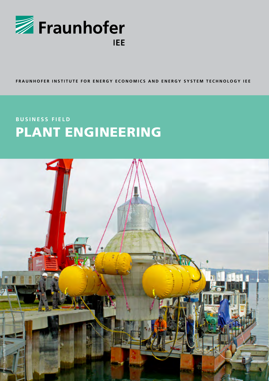

#### FRAUNHOFER INSTITUTE FOR ENERGY ECONOMICS AND ENERGY SYSTEM TECHNOLOGY IEE

## **BUSINESS FIELD** PLANT ENGINEERING

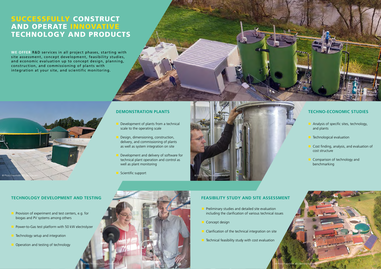© Foto Fraunhofer IEE © Foto Fraunhofer IEE

- Provision of experiment and test centers, e.g. for biogas and PV systems among others
- Power-to-Gas test platform with 50 kW electrolyzer
- Technology setup and integration
- Operation and testing of technology
- Analysis of specific sites, technology, and plants
- **Technological evaluation**
- Cost finding, analysis, and evaluation of cost structure
- **Comparison of technology and** benchmarking

- Preliminary studies and detailed site evaluation including the clarification of various technical issues
- Concept design
- Clarification of the technical integration on site
- Technical feasibility study with cost evaluation



## **Demonstration plants**

### **Feasibility study and site assessment**

- Development of plants from a technical scale to the operating scale
- Design, dimensioning, construction, delivery, and commissioning of plants as well as system integration on site
- Development and delivery of software for technical plant operation and control as well as plant monitoring
- Scientific support



## **Technology development and testing**

### **Techno-economic studies**

**We offer** R&D services in all project phases, starting with site assessment, concept development, feasibility studies, and economic evaluation up to concept design, planning, construction, and commissioning of plants with integration at your site, and scientific monitoring.

## Successfully construct and operate innovative technology and products